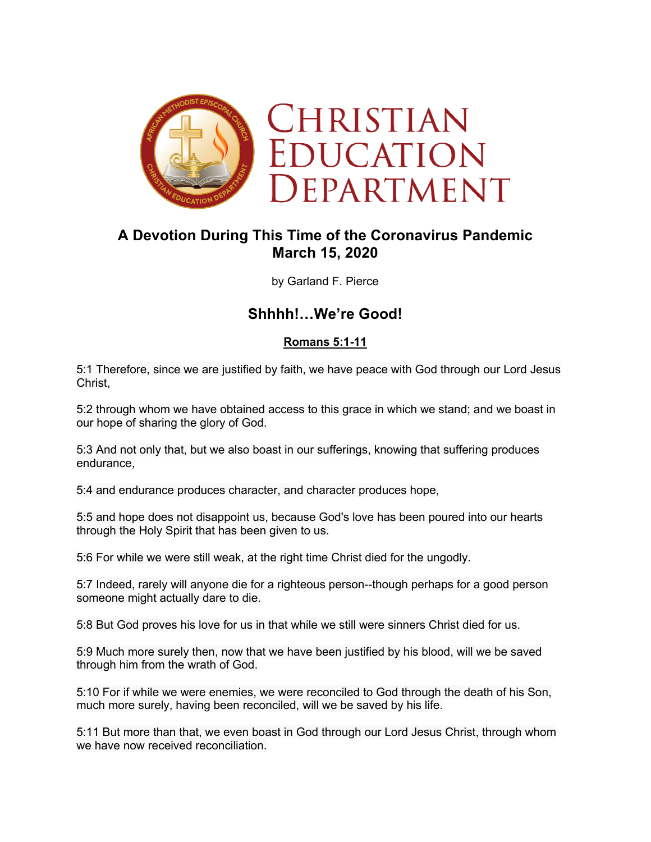

## **A Devotion During This Time of the Coronavirus Pandemic March 15, 2020**

by Garland F. Pierce

## **Shhhh!…We're Good!**

## **Romans 5:1-11**

5:1 Therefore, since we are justified by faith, we have peace with God through our Lord Jesus Christ,

5:2 through whom we have obtained access to this grace in which we stand; and we boast in our hope of sharing the glory of God.

5:3 And not only that, but we also boast in our sufferings, knowing that suffering produces endurance,

5:4 and endurance produces character, and character produces hope,

5:5 and hope does not disappoint us, because God's love has been poured into our hearts through the Holy Spirit that has been given to us.

5:6 For while we were still weak, at the right time Christ died for the ungodly.

5:7 Indeed, rarely will anyone die for a righteous person--though perhaps for a good person someone might actually dare to die.

5:8 But God proves his love for us in that while we still were sinners Christ died for us.

5:9 Much more surely then, now that we have been justified by his blood, will we be saved through him from the wrath of God.

5:10 For if while we were enemies, we were reconciled to God through the death of his Son, much more surely, having been reconciled, will we be saved by his life.

5:11 But more than that, we even boast in God through our Lord Jesus Christ, through whom we have now received reconciliation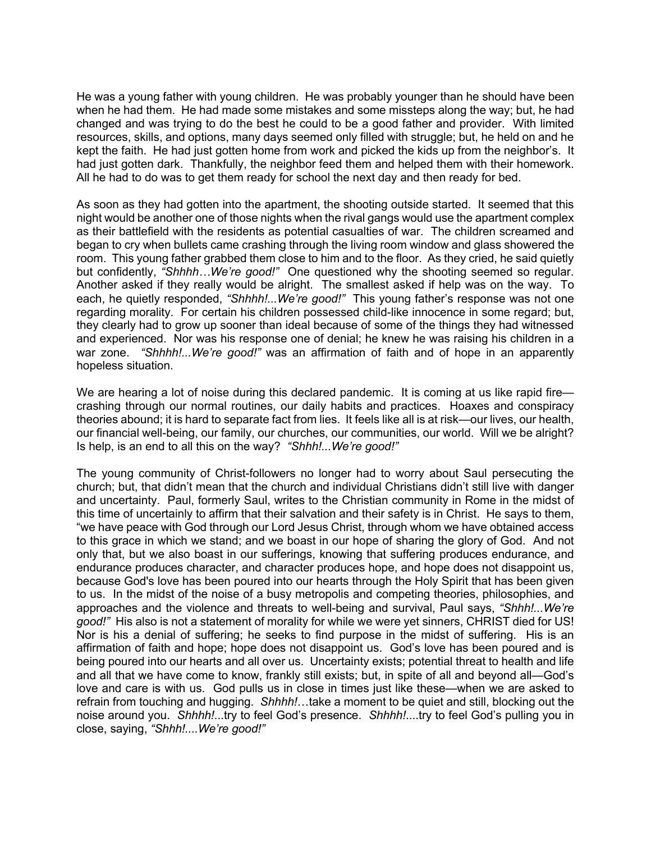He was a young father with young children. He was probably younger than he should have been when he had them. He had made some mistakes and some missteps along the way; but, he had changed and was trying to do the best he could to be a good father and provider. With limited resources, skills, and options, many days seemed only filled with struggle; but, he held on and he kept the faith. He had just gotten home from work and picked the kids up from the neighbor's. It had just gotten dark. Thankfully, the neighbor feed them and helped them with their homework. All he had to do was to get them ready for school the next day and then ready for bed.

As soon as they had gotten into the apartment, the shooting outside started. It seemed that this night would be another one of those nights when the rival gangs would use the apartment complex as their battlefield with the residents as potential casualties of war. The children screamed and began to cry when bullets came crashing through the living room window and glass showered the room. This young father grabbed them close to him and to the floor. As they cried, he said quietly but confidently, *"Shhhh…We're good!"* One questioned why the shooting seemed so regular. Another asked if they really would be alright. The smallest asked if help was on the way. To each, he quietly responded, *"Shhhh!...We're good!"* This young father's response was not one regarding morality. For certain his children possessed child-like innocence in some regard; but, they clearly had to grow up sooner than ideal because of some of the things they had witnessed and experienced. Nor was his response one of denial; he knew he was raising his children in a war zone. *"Shhhh!...We're good!"* was an affirmation of faith and of hope in an apparently hopeless situation.

We are hearing a lot of noise during this declared pandemic. It is coming at us like rapid fire crashing through our normal routines, our daily habits and practices. Hoaxes and conspiracy theories abound; it is hard to separate fact from lies. It feels like all is at risk—our lives, our health, our financial well-being, our family, our churches, our communities, our world. Will we be alright? Is help, is an end to all this on the way? *"Shhh!...We're good!"*

The young community of Christ-followers no longer had to worry about Saul persecuting the church; but, that didn't mean that the church and individual Christians didn't still live with danger and uncertainty. Paul, formerly Saul, writes to the Christian community in Rome in the midst of this time of uncertainly to affirm that their salvation and their safety is in Christ. He says to them, "we have peace with God through our Lord Jesus Christ, through whom we have obtained access to this grace in which we stand; and we boast in our hope of sharing the glory of God. And not only that, but we also boast in our sufferings, knowing that suffering produces endurance, and endurance produces character, and character produces hope, and hope does not disappoint us, because God's love has been poured into our hearts through the Holy Spirit that has been given to us. In the midst of the noise of a busy metropolis and competing theories, philosophies, and approaches and the violence and threats to well-being and survival, Paul says, *"Shhh!...We're good!"* His also is not a statement of morality for while we were yet sinners, CHRIST died for US! Nor is his a denial of suffering; he seeks to find purpose in the midst of suffering. His is an affirmation of faith and hope; hope does not disappoint us. God's love has been poured and is being poured into our hearts and all over us. Uncertainty exists; potential threat to health and life and all that we have come to know, frankly still exists; but, in spite of all and beyond all—God's love and care is with us. God pulls us in close in times just like these—when we are asked to refrain from touching and hugging. *Shhhh!*…take a moment to be quiet and still, blocking out the noise around you. *Shhhh!*...try to feel God's presence. *Shhhh!*....try to feel God's pulling you in close, saying, *"Shhh!....We're good!"*